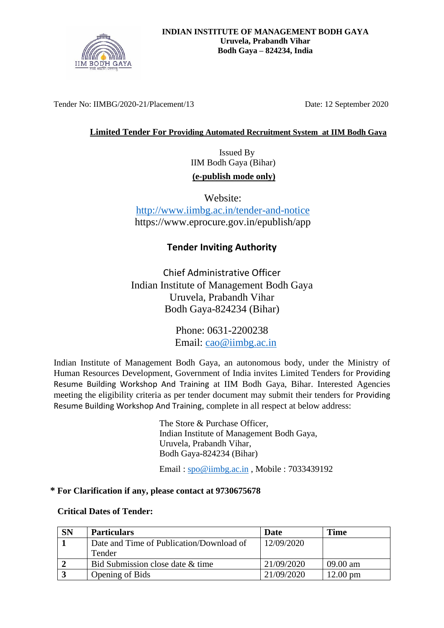

Tender No: IIMBG/2020-21/Placement/13 Date: 12 September 2020

## **Limited Tender For Providing Automated Recruitment System at IIM Bodh Gaya**

 Issued By IIM Bodh Gaya (Bihar) **(e-publish mode only)**

Website: <http://www.iimbg.ac.in/tender-and-notice> https://www.eprocure.gov.in/epublish/app

# **Tender Inviting Authority**

Chief Administrative Officer Indian Institute of Management Bodh Gaya Uruvela, Prabandh Vihar Bodh Gaya-824234 (Bihar)

> Phone: 0631-2200238 Email: [cao@iimbg.ac.in](mailto:cao@iimbg.ac.in)

Indian Institute of Management Bodh Gaya, an autonomous body, under the Ministry of Human Resources Development, Government of India invites Limited Tenders for Providing Resume Building Workshop And Training at IIM Bodh Gaya, Bihar. Interested Agencies meeting the eligibility criteria as per tender document may submit their tenders for Providing Resume Building Workshop And Training, complete in all respect at below address:

> The Store & Purchase Officer, Indian Institute of Management Bodh Gaya, Uruvela, Prabandh Vihar, Bodh Gaya-824234 (Bihar)

Email : [spo@iimbg.ac.in](mailto:spo@iimbg.ac.in) , Mobile : 7033439192

## **\* For Clarification if any, please contact at 9730675678**

### **Critical Dates of Tender:**

| <b>SN</b> | <b>Particulars</b>                       | Date       | <b>Time</b>        |
|-----------|------------------------------------------|------------|--------------------|
|           | Date and Time of Publication/Download of | 12/09/2020 |                    |
|           | Tender                                   |            |                    |
|           | Bid Submission close date & time         | 21/09/2020 | $09.00 \text{ am}$ |
|           | Opening of Bids                          | 21/09/2020 | $12.00 \text{ pm}$ |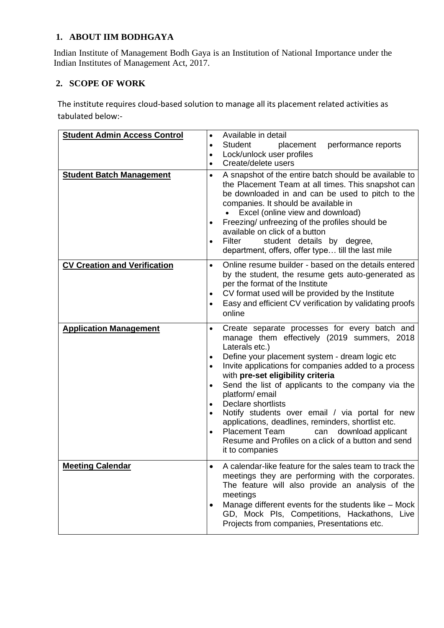# **1. ABOUT IIM BODHGAYA**

Indian Institute of Management Bodh Gaya is an Institution of National Importance under the Indian Institutes of Management Act, 2017.

# **2. SCOPE OF WORK**

The institute requires cloud-based solution to manage all its placement related activities as tabulated below:-

| <b>Student Admin Access Control</b> | Available in detail<br>$\bullet$                                                                                                                                                                                                                                                                                                                                                                                                                                                                                                                                                                                                                                                   |  |
|-------------------------------------|------------------------------------------------------------------------------------------------------------------------------------------------------------------------------------------------------------------------------------------------------------------------------------------------------------------------------------------------------------------------------------------------------------------------------------------------------------------------------------------------------------------------------------------------------------------------------------------------------------------------------------------------------------------------------------|--|
|                                     | Student<br>placement<br>performance reports<br>$\bullet$<br>Lock/unlock user profiles<br>$\bullet$<br>Create/delete users<br>$\bullet$                                                                                                                                                                                                                                                                                                                                                                                                                                                                                                                                             |  |
| <b>Student Batch Management</b>     | A snapshot of the entire batch should be available to<br>the Placement Team at all times. This snapshot can<br>be downloaded in and can be used to pitch to the<br>companies. It should be available in<br>Excel (online view and download)<br>Freezing/ unfreezing of the profiles should be<br>available on click of a button<br>Filter<br>student details by degree,<br>department, offers, offer type till the last mile                                                                                                                                                                                                                                                       |  |
| <b>CV Creation and Verification</b> | Online resume builder - based on the details entered<br>$\bullet$<br>by the student, the resume gets auto-generated as<br>per the format of the Institute<br>CV format used will be provided by the Institute<br>$\bullet$<br>Easy and efficient CV verification by validating proofs<br>$\bullet$<br>online                                                                                                                                                                                                                                                                                                                                                                       |  |
| <b>Application Management</b>       | Create separate processes for every batch and<br>$\bullet$<br>manage them effectively (2019 summers, 2018<br>Laterals etc.)<br>Define your placement system - dream logic etc<br>$\bullet$<br>Invite applications for companies added to a process<br>$\bullet$<br>with pre-set eligibility criteria<br>Send the list of applicants to the company via the<br>$\bullet$<br>platform/email<br>Declare shortlists<br>$\bullet$<br>Notify students over email / via portal for new<br>applications, deadlines, reminders, shortlist etc.<br><b>Placement Team</b><br>download applicant<br>can<br>$\bullet$<br>Resume and Profiles on a click of a button and send<br>it to companies |  |
| <b>Meeting Calendar</b>             | A calendar-like feature for the sales team to track the<br>meetings they are performing with the corporates.<br>The feature will also provide an analysis of the<br>meetings<br>Manage different events for the students like - Mock<br>GD, Mock Pls, Competitions, Hackathons, Live<br>Projects from companies, Presentations etc.                                                                                                                                                                                                                                                                                                                                                |  |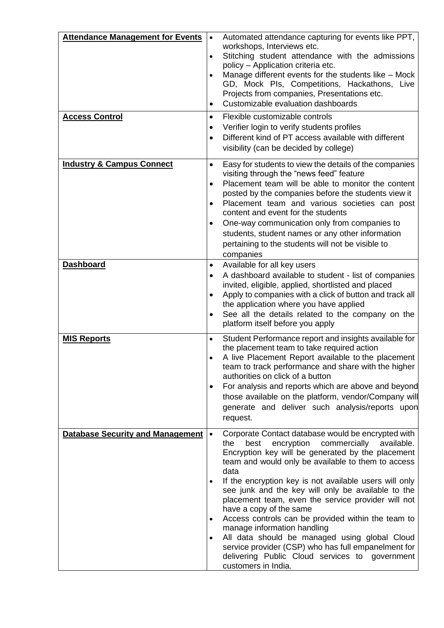| <b>Attendance Management for Events</b><br><b>Access Control</b> | Automated attendance capturing for events like PPT,<br>$\bullet$<br>workshops, Interviews etc.<br>Stitching student attendance with the admissions<br>$\bullet$<br>policy - Application criteria etc.<br>Manage different events for the students like - Mock<br>$\bullet$<br>GD, Mock Pls, Competitions, Hackathons, Live<br>Projects from companies, Presentations etc.<br>Customizable evaluation dashboards<br>$\bullet$<br>Flexible customizable controls<br>$\bullet$                                                                                                                                                                                                                                                                 |
|------------------------------------------------------------------|---------------------------------------------------------------------------------------------------------------------------------------------------------------------------------------------------------------------------------------------------------------------------------------------------------------------------------------------------------------------------------------------------------------------------------------------------------------------------------------------------------------------------------------------------------------------------------------------------------------------------------------------------------------------------------------------------------------------------------------------|
|                                                                  | Verifier login to verify students profiles<br>$\bullet$<br>Different kind of PT access available with different<br>$\bullet$<br>visibility (can be decided by college)                                                                                                                                                                                                                                                                                                                                                                                                                                                                                                                                                                      |
| <b>Industry &amp; Campus Connect</b>                             | Easy for students to view the details of the companies<br>$\bullet$<br>visiting through the "news feed" feature<br>Placement team will be able to monitor the content<br>$\bullet$<br>posted by the companies before the students view it<br>Placement team and various societies can post<br>$\bullet$<br>content and event for the students<br>One-way communication only from companies to<br>٠<br>students, student names or any other information<br>pertaining to the students will not be visible to<br>companies                                                                                                                                                                                                                    |
| <b>Dashboard</b>                                                 | Available for all key users<br>$\bullet$<br>A dashboard available to student - list of companies<br>$\bullet$<br>invited, eligible, applied, shortlisted and placed<br>Apply to companies with a click of button and track all<br>$\bullet$<br>the application where you have applied<br>See all the details related to the company on the<br>$\bullet$<br>platform itself before you apply                                                                                                                                                                                                                                                                                                                                                 |
| <b>MIS Reports</b>                                               | Student Performance report and insights available for<br>$\bullet$<br>the placement team to take required action<br>A live Placement Report available to the placement<br>$\bullet$<br>team to track performance and share with the higher<br>authorities on click of a button<br>For analysis and reports which are above and beyond<br>٠<br>those available on the platform, vendor/Company will<br>generate and deliver such analysis/reports upon<br>request.                                                                                                                                                                                                                                                                           |
| <b>Database Security and Management</b>                          | Corporate Contact database would be encrypted with<br>$\bullet$<br>encryption commercially<br>best<br>the<br>available.<br>Encryption key will be generated by the placement<br>team and would only be available to them to access<br>data<br>If the encryption key is not available users will only<br>see junk and the key will only be available to the<br>placement team, even the service provider will not<br>have a copy of the same<br>Access controls can be provided within the team to<br>$\bullet$<br>manage information handling<br>All data should be managed using global Cloud<br>$\bullet$<br>service provider (CSP) who has full empanelment for<br>delivering Public Cloud services to government<br>customers in India. |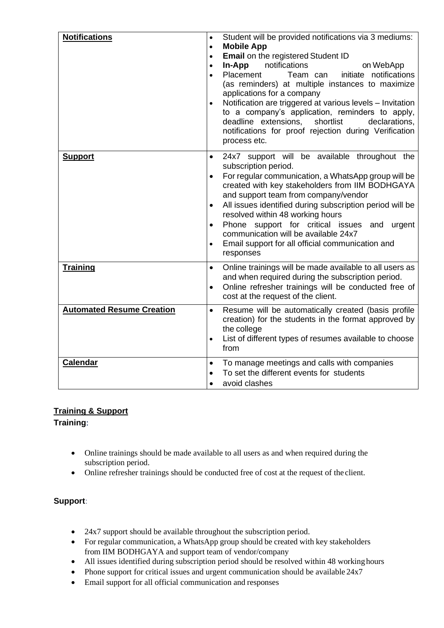| <b>Notifications</b>             | Student will be provided notifications via 3 mediums:<br>$\bullet$<br><b>Mobile App</b><br>$\bullet$<br>Email on the registered Student ID<br>$\bullet$<br>notifications<br>In-App<br>on WebApp<br>$\bullet$<br>initiate notifications<br>Placement<br>Team can<br>$\bullet$<br>(as reminders) at multiple instances to maximize<br>applications for a company<br>Notification are triggered at various levels - Invitation<br>$\bullet$<br>to a company's application, reminders to apply,<br>deadline extensions,<br>shortlist<br>declarations,<br>notifications for proof rejection during Verification<br>process etc. |  |
|----------------------------------|----------------------------------------------------------------------------------------------------------------------------------------------------------------------------------------------------------------------------------------------------------------------------------------------------------------------------------------------------------------------------------------------------------------------------------------------------------------------------------------------------------------------------------------------------------------------------------------------------------------------------|--|
| <b>Support</b>                   | 24x7 support will be available throughout the<br>$\bullet$<br>subscription period.<br>For regular communication, a WhatsApp group will be<br>$\bullet$<br>created with key stakeholders from IIM BODHGAYA<br>and support team from company/vendor<br>All issues identified during subscription period will be<br>$\bullet$<br>resolved within 48 working hours<br>Phone support for critical issues and urgent<br>$\bullet$<br>communication will be available 24x7<br>Email support for all official communication and<br>$\bullet$<br>responses                                                                          |  |
| <b>Training</b>                  | Online trainings will be made available to all users as<br>$\bullet$<br>and when required during the subscription period.<br>Online refresher trainings will be conducted free of<br>$\bullet$<br>cost at the request of the client.                                                                                                                                                                                                                                                                                                                                                                                       |  |
| <b>Automated Resume Creation</b> | Resume will be automatically created (basis profile<br>$\bullet$<br>creation) for the students in the format approved by<br>the college<br>List of different types of resumes available to choose<br>from                                                                                                                                                                                                                                                                                                                                                                                                                  |  |
| <b>Calendar</b>                  | To manage meetings and calls with companies<br>$\bullet$<br>To set the different events for students<br>$\bullet$<br>avoid clashes<br>$\bullet$                                                                                                                                                                                                                                                                                                                                                                                                                                                                            |  |

# **Training & Support**

# **Training**:

- Online trainings should be made available to all users as and when required during the subscription period.
- Online refresher trainings should be conducted free of cost at the request of the client.

# **Support**:

- 24x7 support should be available throughout the subscription period.
- For regular communication, a WhatsApp group should be created with key stakeholders from IIM BODHGAYA and support team of vendor/company
- All issues identified during subscription period should be resolved within 48 working hours
- Phone support for critical issues and urgent communication should be available  $24x7$
- Email support for all official communication and responses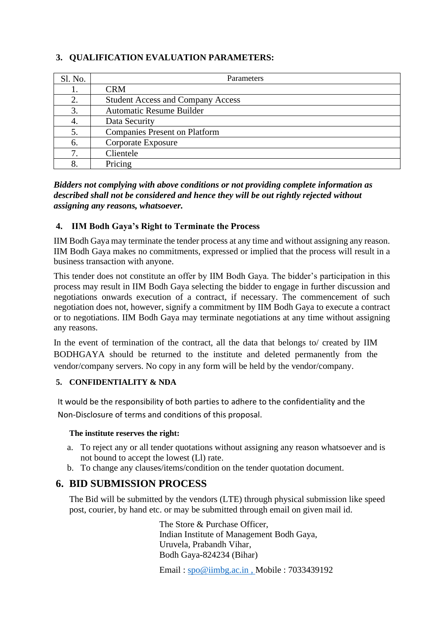# **3. QUALIFICATION EVALUATION PARAMETERS:**

| Sl. No. | <b>Parameters</b>                        |
|---------|------------------------------------------|
|         | <b>CRM</b>                               |
|         | <b>Student Access and Company Access</b> |
| 3.      | <b>Automatic Resume Builder</b>          |
|         | Data Security                            |
| 5.      | <b>Companies Present on Platform</b>     |
| 6.      | Corporate Exposure                       |
| 7       | Clientele                                |
| 8.      | Pricing                                  |

*Bidders not complying with above conditions or not providing complete information as described shall not be considered and hence they will be out rightly rejected without assigning any reasons, whatsoever.*

## **4. IIM Bodh Gaya's Right to Terminate the Process**

IIM Bodh Gaya may terminate the tender process at any time and without assigning any reason. IIM Bodh Gaya makes no commitments, expressed or implied that the process will result in a business transaction with anyone.

This tender does not constitute an offer by IIM Bodh Gaya. The bidder's participation in this process may result in IIM Bodh Gaya selecting the bidder to engage in further discussion and negotiations onwards execution of a contract, if necessary. The commencement of such negotiation does not, however, signify a commitment by IIM Bodh Gaya to execute a contract or to negotiations. IIM Bodh Gaya may terminate negotiations at any time without assigning any reasons.

In the event of termination of the contract, all the data that belongs to/ created by IIM BODHGAYA should be returned to the institute and deleted permanently from the vendor/company servers. No copy in any form will be held by the vendor/company.

## **5. CONFIDENTIALITY & NDA**

It would be the responsibility of both parties to adhere to the confidentiality and the Non-Disclosure of terms and conditions of this proposal.

### **The institute reserves the right:**

- a. To reject any or all tender quotations without assigning any reason whatsoever and is not bound to accept the lowest (Ll) rate.
- b. To change any clauses/items/condition on the tender quotation document.

# **6. BID SUBMISSION PROCESS**

The Bid will be submitted by the vendors (LTE) through physical submission like speed post, courier, by hand etc. or may be submitted through email on given mail id.

> The Store & Purchase Officer, Indian Institute of Management Bodh Gaya, Uruvela, Prabandh Vihar, Bodh Gaya-824234 (Bihar)

Email : [spo@iimbg.ac.in](mailto:spo@iimbg.ac.in) , Mobile : 7033439192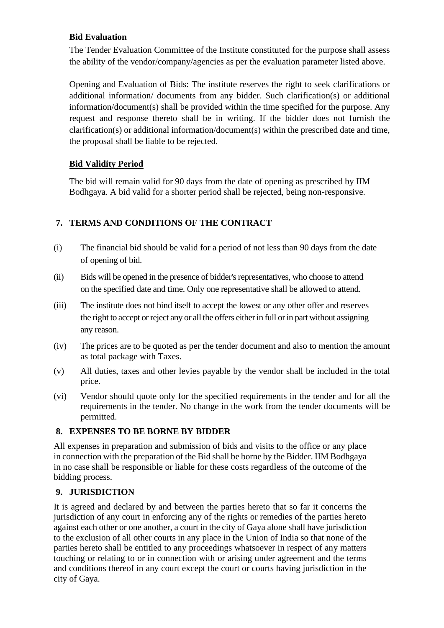## **Bid Evaluation**

The Tender Evaluation Committee of the Institute constituted for the purpose shall assess the ability of the vendor/company/agencies as per the evaluation parameter listed above.

Opening and Evaluation of Bids: The institute reserves the right to seek clarifications or additional information/ documents from any bidder. Such clarification(s) or additional information/document(s) shall be provided within the time specified for the purpose. Any request and response thereto shall be in writing. If the bidder does not furnish the clarification(s) or additional information/document(s) within the prescribed date and time, the proposal shall be liable to be rejected.

## **Bid Validity Period**

The bid will remain valid for 90 days from the date of opening as prescribed by IIM Bodhgaya. A bid valid for a shorter period shall be rejected, being non-responsive.

# **7. TERMS AND CONDITIONS OF THE CONTRACT**

- (i) The financial bid should be valid for a period of not less than 90 days from the date of opening of bid.
- (ii) Bids will be opened in the presence of bidder's representatives, who choose to attend on the specified date and time. Only one representative shall be allowed to attend.
- (iii) The institute does not bind itself to accept the lowest or any other offer and reserves the right to accept or reject any or all the offers either in full or in part without assigning any reason.
- (iv) The prices are to be quoted as per the tender document and also to mention the amount as total package with Taxes.
- (v) All duties, taxes and other levies payable by the vendor shall be included in the total price.
- (vi) Vendor should quote only for the specified requirements in the tender and for all the requirements in the tender. No change in the work from the tender documents will be permitted.

## **8. EXPENSES TO BE BORNE BY BIDDER**

All expenses in preparation and submission of bids and visits to the office or any place in connection with the preparation of the Bid shall be borne by the Bidder. IIM Bodhgaya in no case shall be responsible or liable for these costs regardless of the outcome of the bidding process.

## **9. JURISDICTION**

It is agreed and declared by and between the parties hereto that so far it concerns the jurisdiction of any court in enforcing any of the rights or remedies of the parties hereto against each other or one another, a court in the city of Gaya alone shall have jurisdiction to the exclusion of all other courts in any place in the Union of India so that none of the parties hereto shall be entitled to any proceedings whatsoever in respect of any matters touching or relating to or in connection with or arising under agreement and the terms and conditions thereof in any court except the court or courts having jurisdiction in the city of Gaya.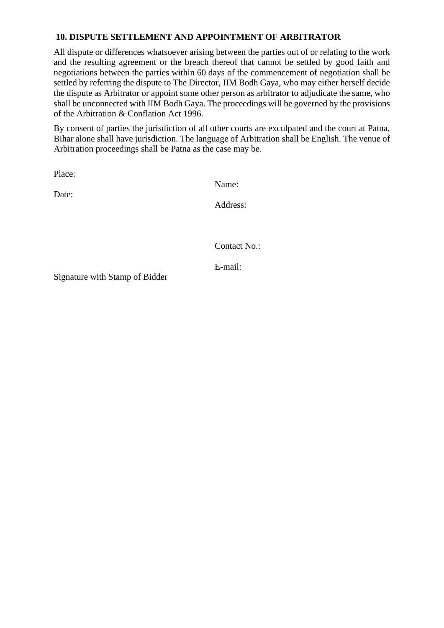## **10. DISPUTE SETTLEMENT AND APPOINTMENT OF ARBITRATOR**

All dispute or differences whatsoever arising between the parties out of or relating to the work and the resulting agreement or the breach thereof that cannot be settled by good faith and negotiations between the parties within 60 days of the commencement of negotiation shall be settled by referring the dispute to The Director, IIM Bodh Gaya, who may either herself decide the dispute as Arbitrator or appoint some other person as arbitrator to adjudicate the same, who shall be unconnected with IIM Bodh Gaya. The proceedings will be governed by the provisions of the Arbitration & Conflation Act 1996.

By consent of parties the jurisdiction of all other courts are exculpated and the court at Patna, Bihar alone shall have jurisdiction. The language of Arbitration shall be English. The venue of Arbitration proceedings shall be Patna as the case may be.

Place:

Date:

Name:

Address:

Contact No.:

E-mail:

Signature with Stamp of Bidder